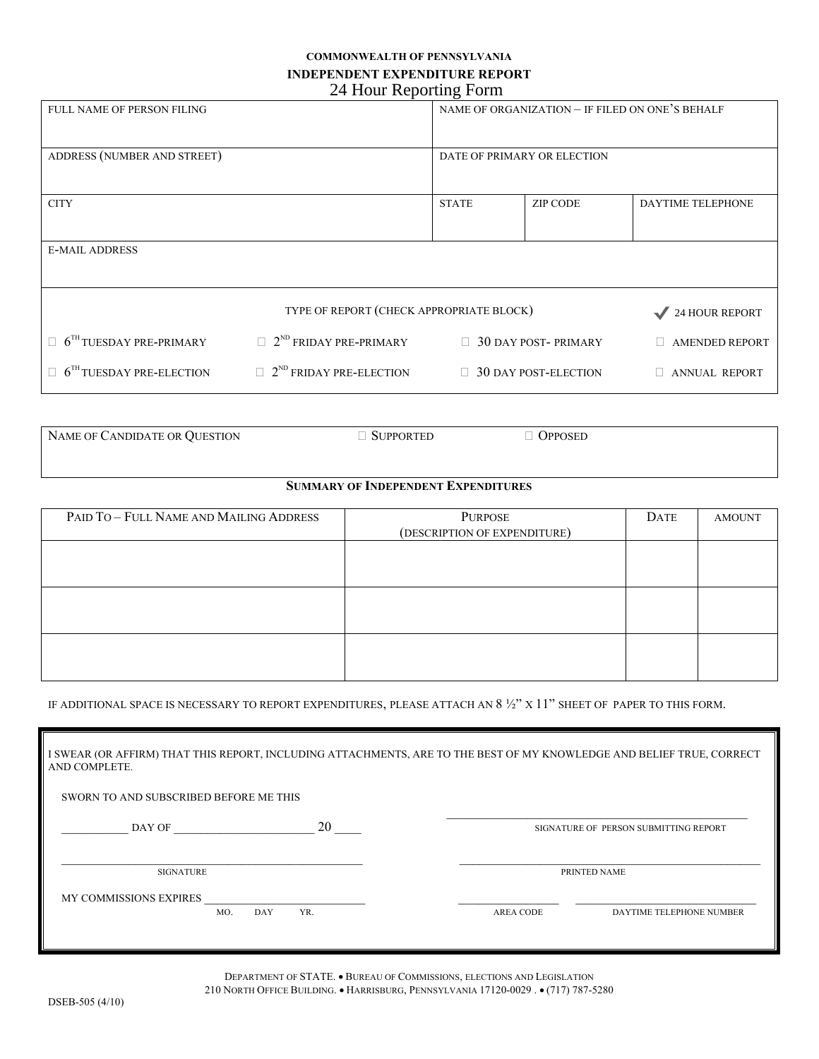## **COMMONWEALTH OF PENNSYLVANIA INDEPENDENT EXPENDITURE REPORT**

| 24 Hour Reporting Form                   |                                            |                                                 |                             |                       |  |  |
|------------------------------------------|--------------------------------------------|-------------------------------------------------|-----------------------------|-----------------------|--|--|
| <b>FULL NAME OF PERSON FILING</b>        |                                            | NAME OF ORGANIZATION - IF FILED ON ONE'S BEHALF |                             |                       |  |  |
| ADDRESS (NUMBER AND STREET)              |                                            | DATE OF PRIMARY OR ELECTION                     |                             |                       |  |  |
| <b>CITY</b>                              |                                            | <b>STATE</b>                                    | <b>ZIP CODE</b>             | DAYTIME TELEPHONE     |  |  |
| <b>E-MAIL ADDRESS</b>                    |                                            |                                                 |                             |                       |  |  |
| TYPE OF REPORT (CHECK APPROPRIATE BLOCK) |                                            |                                                 |                             | 24 HOUR REPORT        |  |  |
| $6TH TUESDAY PRE-PRIMARY$                | $\Box$ 2 <sup>ND</sup> FRIDAY PRE-PRIMARY  | $\Box$                                          | <b>30 DAY POST-PRIMARY</b>  | <b>AMENDED REPORT</b> |  |  |
| $6TH TUESDAY PRE-ELECTION$               | $\Box$ 2 <sup>ND</sup> FRIDAY PRE-ELECTION |                                                 | $\Box$ 30 DAY POST-ELECTION | <b>ANNUAL REPORT</b>  |  |  |

NAME OF CANDIDATE OR QUESTION  $\Box$  SUPPORTED  $\Box$  OPPOSED

## **SUMMARY OF INDEPENDENT EXPENDITURES**

| PAID TO - FULL NAME AND MAILING ADDRESS | PURPOSE                      | DATE | <b>AMOUNT</b> |
|-----------------------------------------|------------------------------|------|---------------|
|                                         | (DESCRIPTION OF EXPENDITURE) |      |               |
|                                         |                              |      |               |
|                                         |                              |      |               |
|                                         |                              |      |               |
|                                         |                              |      |               |
|                                         |                              |      |               |
|                                         |                              |      |               |
|                                         |                              |      |               |
|                                         |                              |      |               |
|                                         |                              |      |               |

IF ADDITIONAL SPACE IS NECESSARY TO REPORT EXPENDITURES, PLEASE ATTACH AN 8 ½" X 11" SHEET OF PAPER TO THIS FORM.

| I SWEAR (OR AFFIRM) THAT THIS REPORT, INCLUDING ATTACHMENTS, ARE TO THE BEST OF MY KNOWLEDGE AND BELIEF TRUE, CORRECT<br>AND COMPLETE. |     |                  |                                       |  |  |
|----------------------------------------------------------------------------------------------------------------------------------------|-----|------------------|---------------------------------------|--|--|
| SWORN TO AND SUBSCRIBED BEFORE ME THIS                                                                                                 |     |                  |                                       |  |  |
| DAY OF                                                                                                                                 | 20  |                  | SIGNATURE OF PERSON SUBMITTING REPORT |  |  |
| <b>SIGNATURE</b>                                                                                                                       |     |                  | PRINTED NAME                          |  |  |
| <b>MY COMMISSIONS EXPIRES</b><br>MO.<br>DAY                                                                                            | YR. | <b>AREA CODE</b> | DAYTIME TELEPHONE NUMBER              |  |  |
|                                                                                                                                        |     |                  |                                       |  |  |

DEPARTMENT OF STATE. • BUREAU OF COMMISSIONS, ELECTIONS AND LEGISLATION 210 NORTH OFFICE BUILDING. • HARRISBURG, PENNSYLVANIA 17120-0029 . • (717) 787-5280